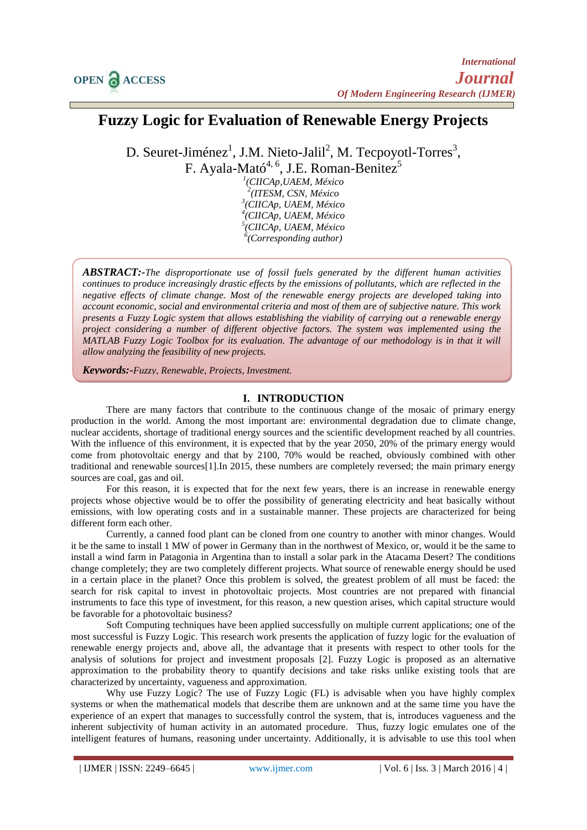# **Fuzzy Logic for Evaluation of Renewable Energy Projects**

D. Seuret-Jiménez<sup>1</sup>, J.M. Nieto-Jalil<sup>2</sup>, M. Tecpoyotl-Torres<sup>3</sup>,

F. Ayala-Mató<sup>4, 6</sup>, J.E. Roman-Benitez<sup>5</sup>

 *(CIICAp,UAEM, México (ITESM, CSN, México (CIICAp, UAEM, México (CIICAp, UAEM, México (CIICAp, UAEM, México (Corresponding author)*

*ABSTRACT:-The disproportionate use of fossil fuels generated by the different human activities continues to produce increasingly drastic effects by the emissions of pollutants, which are reflected in the negative effects of climate change. Most of the renewable energy projects are developed taking into account economic, social and environmental criteria and most of them are of subjective nature. This work presents a Fuzzy Logic system that allows establishing the viability of carrying out a renewable energy project considering a number of different objective factors. The system was implemented using the MATLAB Fuzzy Logic Toolbox for its evaluation. The advantage of our methodology is in that it will allow analyzing the feasibility of new projects.* 

*Keywords:-Fuzzy, Renewable, Projects, Investment.*

# **I. INTRODUCTION**

There are many factors that contribute to the continuous change of the mosaic of primary energy production in the world. Among the most important are: environmental degradation due to climate change, nuclear accidents, shortage of traditional energy sources and the scientific development reached by all countries. With the influence of this environment, it is expected that by the year 2050, 20% of the primary energy would come from photovoltaic energy and that by 2100, 70% would be reached, obviously combined with other traditional and renewable sources[1].In 2015, these numbers are completely reversed; the main primary energy sources are coal, gas and oil.

For this reason, it is expected that for the next few years, there is an increase in renewable energy projects whose objective would be to offer the possibility of generating electricity and heat basically without emissions, with low operating costs and in a sustainable manner. These projects are characterized for being different form each other.

Currently, a canned food plant can be cloned from one country to another with minor changes. Would it be the same to install 1 MW of power in Germany than in the northwest of Mexico, or, would it be the same to install a wind farm in Patagonia in Argentina than to install a solar park in the Atacama Desert? The conditions change completely; they are two completely different projects. What source of renewable energy should be used in a certain place in the planet? Once this problem is solved, the greatest problem of all must be faced: the search for risk capital to invest in photovoltaic projects. Most countries are not prepared with financial instruments to face this type of investment, for this reason, a new question arises, which capital structure would be favorable for a photovoltaic business?

Soft Computing techniques have been applied successfully on multiple current applications; one of the most successful is Fuzzy Logic. This research work presents the application of fuzzy logic for the evaluation of renewable energy projects and, above all, the advantage that it presents with respect to other tools for the analysis of solutions for project and investment proposals [2]. Fuzzy Logic is proposed as an alternative approximation to the probability theory to quantify decisions and take risks unlike existing tools that are characterized by uncertainty, vagueness and approximation.

Why use Fuzzy Logic? The use of Fuzzy Logic (FL) is advisable when you have highly complex systems or when the mathematical models that describe them are unknown and at the same time you have the experience of an expert that manages to successfully control the system, that is, introduces vagueness and the inherent subjectivity of human activity in an automated procedure. Thus, fuzzy logic emulates one of the intelligent features of humans, reasoning under uncertainty. Additionally, it is advisable to use this tool when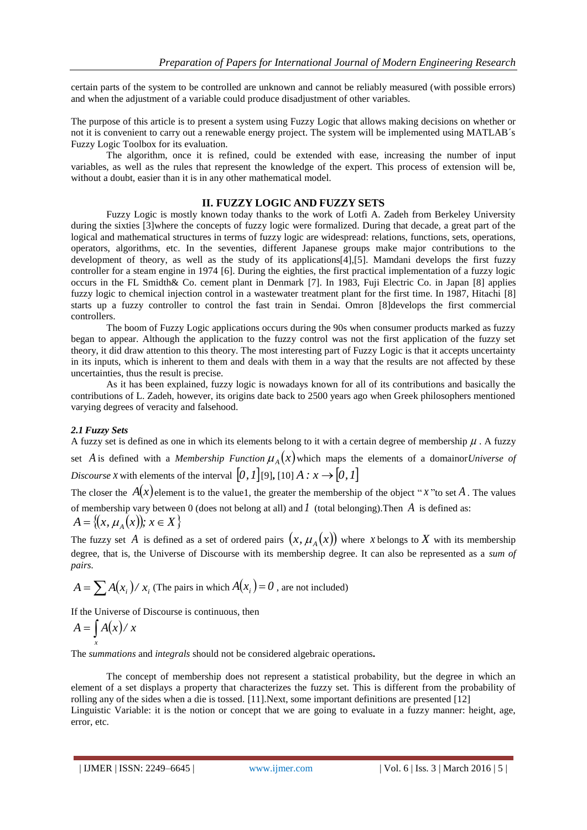certain parts of the system to be controlled are unknown and cannot be reliably measured (with possible errors) and when the adjustment of a variable could produce disadjustment of other variables.

The purpose of this article is to present a system using Fuzzy Logic that allows making decisions on whether or not it is convenient to carry out a renewable energy project. The system will be implemented using MATLAB´s Fuzzy Logic Toolbox for its evaluation.

The algorithm, once it is refined, could be extended with ease, increasing the number of input variables, as well as the rules that represent the knowledge of the expert. This process of extension will be, without a doubt, easier than it is in any other mathematical model.

## **II. FUZZY LOGIC AND FUZZY SETS**

Fuzzy Logic is mostly known today thanks to the work of Lotfi A. Zadeh from Berkeley University during the sixties [3]where the concepts of fuzzy logic were formalized. During that decade, a great part of the logical and mathematical structures in terms of fuzzy logic are widespread: relations, functions, sets, operations, operators, algorithms, etc. In the seventies, different Japanese groups make major contributions to the development of theory, as well as the study of its applications[4],[5]. Mamdani develops the first fuzzy controller for a steam engine in 1974 [6]. During the eighties, the first practical implementation of a fuzzy logic occurs in the FL Smidth& Co. cement plant in Denmark [7]. In 1983, Fuji Electric Co. in Japan [8] applies fuzzy logic to chemical injection control in a wastewater treatment plant for the first time. In 1987, Hitachi [8] starts up a fuzzy controller to control the fast train in Sendai. Omron [8]develops the first commercial controllers.

The boom of Fuzzy Logic applications occurs during the 90s when consumer products marked as fuzzy began to appear. Although the application to the fuzzy control was not the first application of the fuzzy set theory, it did draw attention to this theory. The most interesting part of Fuzzy Logic is that it accepts uncertainty in its inputs, which is inherent to them and deals with them in a way that the results are not affected by these uncertainties, thus the result is precise.

As it has been explained, fuzzy logic is nowadays known for all of its contributions and basically the contributions of L. Zadeh, however, its origins date back to 2500 years ago when Greek philosophers mentioned varying degrees of veracity and falsehood.

# *2.1 Fuzzy Sets*

A fuzzy set is defined as one in which its elements belong to it with a certain degree of membership  $\mu$ . A fuzzy set A is defined with a *Membership Function*  $\mu_A(x)$  which maps the elements of a domainor *Universe of* Discourse *x* with elements of the interval  $[0, 1]$  [9], [10]  $A : x \rightarrow [0, 1]$ 

The closer the  $A(x)$  element is to the value1, the greater the membership of the object "x" to set A. The values of membership vary between 0 (does not belong at all) and *1* (total belonging).Then *A* is defined as:  $A = \{(x, \mu_A(x)); x \in X\}$ 

The fuzzy set A is defined as a set of ordered pairs  $(x, \mu_A(x))$  where *x* belongs to X with its membership degree, that is, the Universe of Discourse with its membership degree. It can also be represented as a *sum of pairs.* 

$$
A = \sum A(x_i) / x_i
$$
 (The pairs in which  $A(x_i) = 0$ , are not included)

If the Universe of Discourse is continuous, then

$$
A = \int_{x} A(x) / x
$$

The *summations* and *integrals* should not be considered algebraic operations**.** 

The concept of membership does not represent a statistical probability, but the degree in which an element of a set displays a property that characterizes the fuzzy set. This is different from the probability of rolling any of the sides when a die is tossed. [11].Next, some important definitions are presented [12] Linguistic Variable: it is the notion or concept that we are going to evaluate in a fuzzy manner: height, age, error, etc.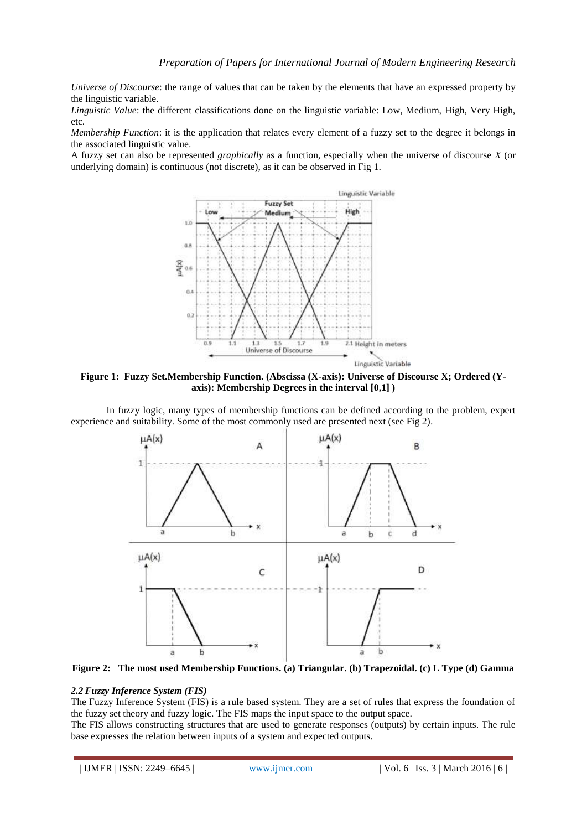*Universe of Discourse*: the range of values that can be taken by the elements that have an expressed property by the linguistic variable.

*Linguistic Value*: the different classifications done on the linguistic variable: Low, Medium, High, Very High, etc.

*Membership Function*: it is the application that relates every element of a fuzzy set to the degree it belongs in the associated linguistic value.

A fuzzy set can also be represented *graphically* as a function, especially when the universe of discourse *X* (or underlying domain) is continuous (not discrete), as it can be observed in Fig 1.



**Figure 1: Fuzzy Set.Membership Function. (Abscissa (X-axis): Universe of Discourse X; Ordered (Yaxis): Membership Degrees in the interval [0,1] )**

In fuzzy logic, many types of membership functions can be defined according to the problem, expert experience and suitability. Some of the most commonly used are presented next (see Fig 2).





#### *2.2 Fuzzy Inference System (FIS)*

The Fuzzy Inference System (FIS) is a rule based system. They are a set of rules that express the foundation of the fuzzy set theory and fuzzy logic. The FIS maps the input space to the output space.

The FIS allows constructing structures that are used to generate responses (outputs) by certain inputs. The rule base expresses the relation between inputs of a system and expected outputs.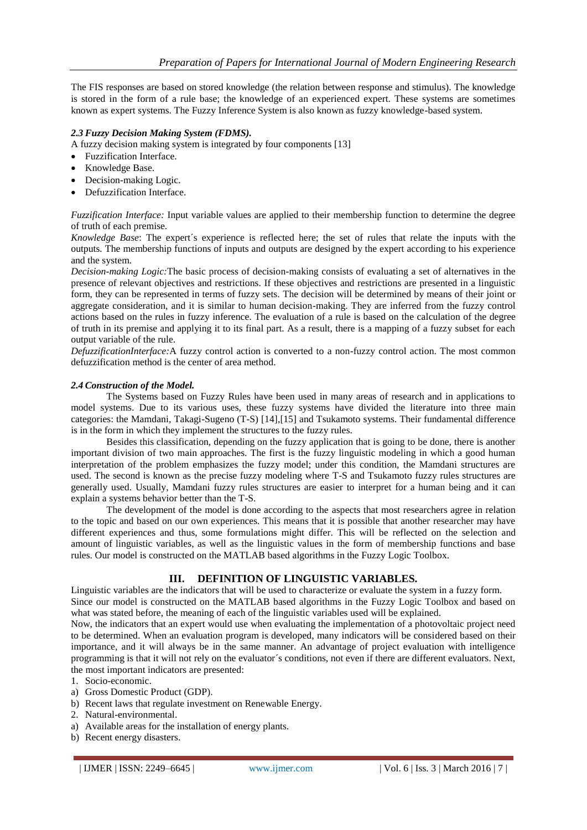The FIS responses are based on stored knowledge (the relation between response and stimulus). The knowledge is stored in the form of a rule base; the knowledge of an experienced expert. These systems are sometimes known as expert systems. The Fuzzy Inference System is also known as fuzzy knowledge-based system.

## *2.3 Fuzzy Decision Making System (FDMS).*

A fuzzy decision making system is integrated by four components [13]

- Fuzzification Interface.
- Knowledge Base.
- Decision-making Logic.
- Defuzzification Interface.

*Fuzzification Interface:* Input variable values are applied to their membership function to determine the degree of truth of each premise.

*Knowledge Base*: The expert´s experience is reflected here; the set of rules that relate the inputs with the outputs. The membership functions of inputs and outputs are designed by the expert according to his experience and the system.

*Decision-making Logic:*The basic process of decision-making consists of evaluating a set of alternatives in the presence of relevant objectives and restrictions. If these objectives and restrictions are presented in a linguistic form, they can be represented in terms of fuzzy sets. The decision will be determined by means of their joint or aggregate consideration, and it is similar to human decision-making. They are inferred from the fuzzy control actions based on the rules in fuzzy inference. The evaluation of a rule is based on the calculation of the degree of truth in its premise and applying it to its final part. As a result, there is a mapping of a fuzzy subset for each output variable of the rule.

*DefuzzificationInterface:*A fuzzy control action is converted to a non-fuzzy control action. The most common defuzzification method is the center of area method.

## *2.4 Construction of the Model.*

The Systems based on Fuzzy Rules have been used in many areas of research and in applications to model systems. Due to its various uses, these fuzzy systems have divided the literature into three main categories: the Mamdani, Takagi-Sugeno (T-S) [14],[15] and Tsukamoto systems. Their fundamental difference is in the form in which they implement the structures to the fuzzy rules.

Besides this classification, depending on the fuzzy application that is going to be done, there is another important division of two main approaches. The first is the fuzzy linguistic modeling in which a good human interpretation of the problem emphasizes the fuzzy model; under this condition, the Mamdani structures are used. The second is known as the precise fuzzy modeling where T-S and Tsukamoto fuzzy rules structures are generally used. Usually, Mamdani fuzzy rules structures are easier to interpret for a human being and it can explain a systems behavior better than the T-S.

The development of the model is done according to the aspects that most researchers agree in relation to the topic and based on our own experiences. This means that it is possible that another researcher may have different experiences and thus, some formulations might differ. This will be reflected on the selection and amount of linguistic variables, as well as the linguistic values in the form of membership functions and base rules. Our model is constructed on the MATLAB based algorithms in the Fuzzy Logic Toolbox.

# **III. DEFINITION OF LINGUISTIC VARIABLES.**

Linguistic variables are the indicators that will be used to characterize or evaluate the system in a fuzzy form. Since our model is constructed on the MATLAB based algorithms in the Fuzzy Logic Toolbox and based on what was stated before, the meaning of each of the linguistic variables used will be explained.

Now, the indicators that an expert would use when evaluating the implementation of a photovoltaic project need to be determined. When an evaluation program is developed, many indicators will be considered based on their importance, and it will always be in the same manner. An advantage of project evaluation with intelligence programming is that it will not rely on the evaluator´s conditions, not even if there are different evaluators. Next, the most important indicators are presented:

- 1. Socio-economic.
- a) Gross Domestic Product (GDP).
- b) Recent laws that regulate investment on Renewable Energy.
- 2. Natural-environmental.
- a) Available areas for the installation of energy plants.
- b) Recent energy disasters.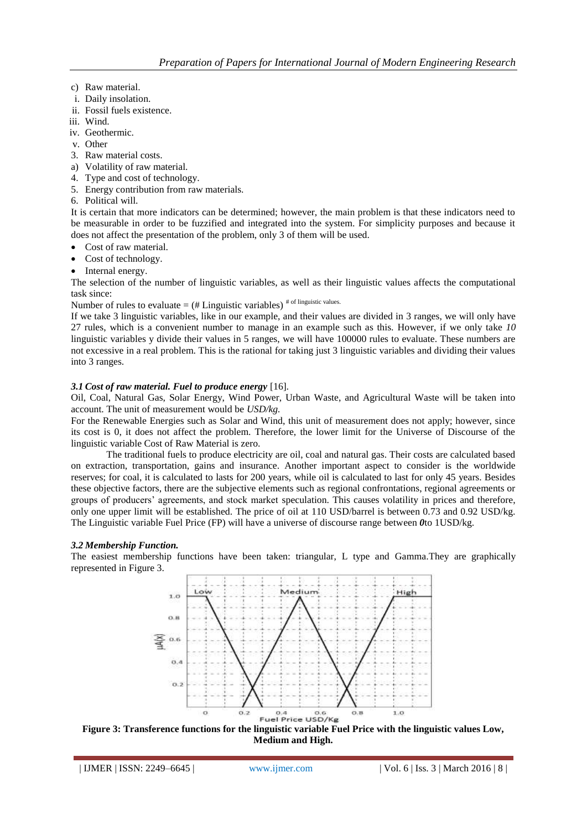- c) Raw material.
- i. Daily insolation.
- ii. Fossil fuels existence.
- iii. Wind.
- iv. Geothermic.
- v. Other
- 3. Raw material costs.
- a) Volatility of raw material.
- 4. Type and cost of technology.
- 5. Energy contribution from raw materials.
- 6. Political will.

It is certain that more indicators can be determined; however, the main problem is that these indicators need to be measurable in order to be fuzzified and integrated into the system. For simplicity purposes and because it does not affect the presentation of the problem, only 3 of them will be used.

- Cost of raw material.
- Cost of technology.
- Internal energy.

The selection of the number of linguistic variables, as well as their linguistic values affects the computational task since:

Number of rules to evaluate =  $(\#$  Linguistic variables)<sup># of linguistic values.</sup>

If we take 3 linguistic variables, like in our example, and their values are divided in 3 ranges, we will only have 27 rules, which is a convenient number to manage in an example such as this. However, if we only take *10* linguistic variables y divide their values in 5 ranges, we will have 100000 rules to evaluate. These numbers are not excessive in a real problem. This is the rational for taking just 3 linguistic variables and dividing their values into 3 ranges.

## *3.1 Cost of raw material. Fuel to produce energy* [16]*.*

Oil, Coal, Natural Gas, Solar Energy, Wind Power, Urban Waste, and Agricultural Waste will be taken into account. The unit of measurement would be *USD/kg.*

For the Renewable Energies such as Solar and Wind, this unit of measurement does not apply; however, since its cost is 0, it does not affect the problem. Therefore, the lower limit for the Universe of Discourse of the linguistic variable Cost of Raw Material is zero.

The traditional fuels to produce electricity are oil, coal and natural gas. Their costs are calculated based on extraction, transportation, gains and insurance. Another important aspect to consider is the worldwide reserves; for coal, it is calculated to lasts for 200 years, while oil is calculated to last for only 45 years. Besides these objective factors, there are the subjective elements such as regional confrontations, regional agreements or groups of producers' agreements, and stock market speculation. This causes volatility in prices and therefore, only one upper limit will be established. The price of oil at 110 USD/barrel is between 0.73 and 0.92 USD/kg. The Linguistic variable Fuel Price (FP) will have a universe of discourse range between *0*to 1USD/kg.

## *3.2 Membership Function.*

The easiest membership functions have been taken: triangular, L type and Gamma.They are graphically represented in Figure 3.



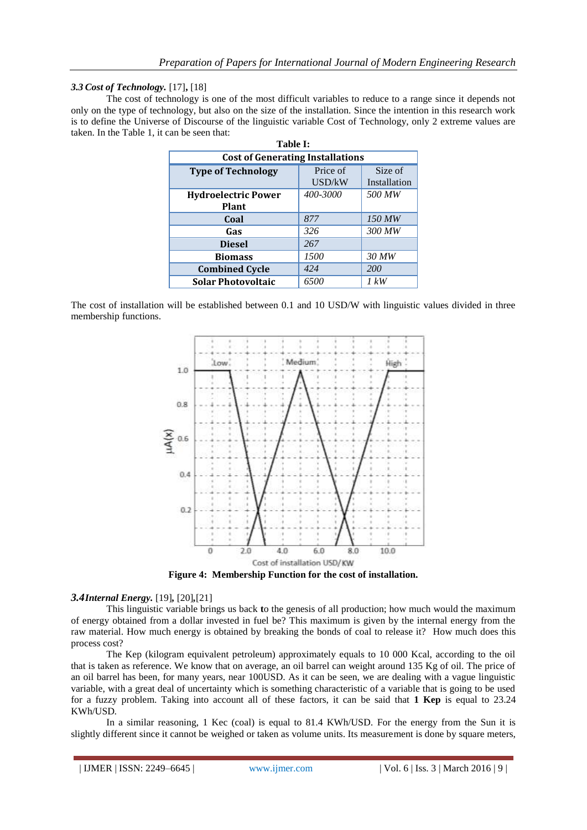## *3.3 Cost of Technology.* [17]**,** [18]

The cost of technology is one of the most difficult variables to reduce to a range since it depends not only on the type of technology, but also on the size of the installation. Since the intention in this research work is to define the Universe of Discourse of the linguistic variable Cost of Technology, only 2 extreme values are taken. In the Table 1, it can be seen that:

| Table I:                                   |                    |                         |  |  |  |  |
|--------------------------------------------|--------------------|-------------------------|--|--|--|--|
| <b>Cost of Generating Installations</b>    |                    |                         |  |  |  |  |
| <b>Type of Technology</b>                  | Price of<br>USD/kW | Size of<br>Installation |  |  |  |  |
| <b>Hydroelectric Power</b><br><b>Plant</b> | 400-3000           | 500 MW                  |  |  |  |  |
| Coal                                       | 877                | 150 MW                  |  |  |  |  |
| Gas                                        | 326                | 300 MW                  |  |  |  |  |
| <b>Diesel</b>                              | 267                |                         |  |  |  |  |
| <b>Biomass</b>                             | 1500               | 30 MW                   |  |  |  |  |
| <b>Combined Cycle</b>                      | 424                | <i>200</i>              |  |  |  |  |
| <b>Solar Photovoltaic</b>                  | 6500               | 1 kW                    |  |  |  |  |

The cost of installation will be established between 0.1 and 10 USD/W with linguistic values divided in three membership functions.



**Figure 4: Membership Function for the cost of installation.**

# *3.4Internal Energy.* [19]*,* [20]*,*[21]

This linguistic variable brings us back **t**o the genesis of all production; how much would the maximum of energy obtained from a dollar invested in fuel be? This maximum is given by the internal energy from the raw material. How much energy is obtained by breaking the bonds of coal to release it? How much does this process cost?

The Kep (kilogram equivalent petroleum) approximately equals to 10 000 Kcal, according to the oil that is taken as reference. We know that on average, an oil barrel can weight around 135 Kg of oil. The price of an oil barrel has been, for many years, near 100USD. As it can be seen, we are dealing with a vague linguistic variable, with a great deal of uncertainty which is something characteristic of a variable that is going to be used for a fuzzy problem. Taking into account all of these factors, it can be said that **1 Kep** is equal to 23.24 KWh/USD*.*

In a similar reasoning, 1 Kec (coal) is equal to 81.4 KWh/USD*.* For the energy from the Sun it is slightly different since it cannot be weighed or taken as volume units. Its measurement is done by square meters,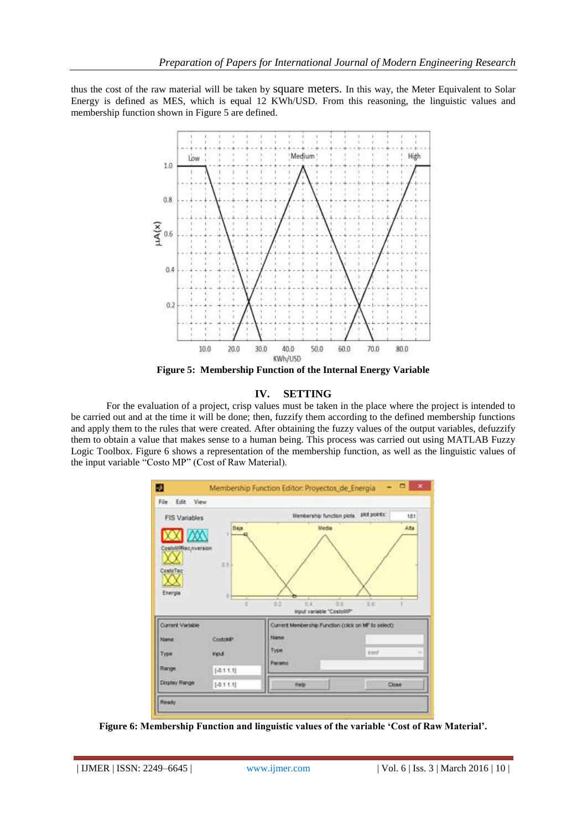thus the cost of the raw material will be taken by square meters. In this way, the Meter Equivalent to Solar Energy is defined as MES, which is equal 12 KWh/USD*.* From this reasoning, the linguistic values and membership function shown in Figure 5 are defined.



#### **IV. SETTING**

For the evaluation of a project, crisp values must be taken in the place where the project is intended to be carried out and at the time it will be done; then, fuzzify them according to the defined membership functions and apply them to the rules that were created. After obtaining the fuzzy values of the output variables, defuzzify them to obtain a value that makes sense to a human being. This process was carried out using MATLAB Fuzzy Logic Toolbox. Figure 6 shows a representation of the membership function, as well as the linguistic values of the input variable "Costo MP" (Cost of Raw Material).



**Figure 6: Membership Function and linguistic values of the variable 'Cost of Raw Material'.**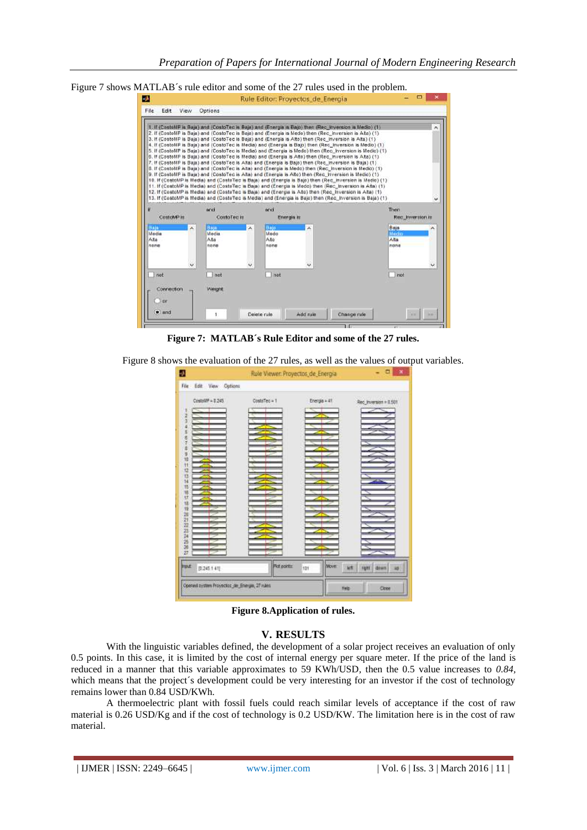Figure 7 shows MATLAB´s rule editor and some of the 27 rules used in the problem.

| File<br>Edit                       | View | Options                       |                                     |                                                                                                                                                                                                                                                                                                                                                                                                                                                                                                                                                                                                                                                                                                                                                                                                                                                                                                                                                                                                                                                                                                                                                                                                                                                                                                                                    |                               |
|------------------------------------|------|-------------------------------|-------------------------------------|------------------------------------------------------------------------------------------------------------------------------------------------------------------------------------------------------------------------------------------------------------------------------------------------------------------------------------------------------------------------------------------------------------------------------------------------------------------------------------------------------------------------------------------------------------------------------------------------------------------------------------------------------------------------------------------------------------------------------------------------------------------------------------------------------------------------------------------------------------------------------------------------------------------------------------------------------------------------------------------------------------------------------------------------------------------------------------------------------------------------------------------------------------------------------------------------------------------------------------------------------------------------------------------------------------------------------------|-------------------------------|
|                                    |      |                               |                                     |                                                                                                                                                                                                                                                                                                                                                                                                                                                                                                                                                                                                                                                                                                                                                                                                                                                                                                                                                                                                                                                                                                                                                                                                                                                                                                                                    |                               |
|                                    |      |                               |                                     | 1. If (CostoMP is Baja) and (CostoTec is Baja) and (Energia is Bajo) then (Rec. Inversion is Medio) (1)<br>2. If (CostoMP is Baja) and (CostoTeo is Baja) and (Energia is Medo) then (Rec. Inversion is Alta) (1)<br>3. If (CostoMP is Baia) and (CostoTec is Baia) and (Energia is Alto) then (Rec. Inversion is Alta) (1).<br>4. If (CostoMP is Baja) and (CostoTec is Media) and (Energia is Bajo) then (Rec Inversion is Medio) (1)<br>5. If (CostoMP is Baja) and (CostoTec is Media) and (Energia is Medo) then (Rec_inversion is Medio) (1)<br>6. If (CostoMP is Baja) and (CostoTec is Media) and (Energia is Alto) then (Rec. Inversion is Alta) (1)<br>7. If (CostoMP is Baja) and (CostoTec is Alta) and (Energia is Bajo) then (Rec. Inversion is Baja) (1)<br>8. If (CostoMP is Baja) and (CostoTec is Alta) and (Energia is Medo) then (Rec. Inversion is Medio) (1)<br>9. If (CostoMP is Baja) and (CostoTec is Alta) and (Energia is Alto) then (Rec. Inversion is Medio) (1)<br>10. If (CostoMP is Media) and (CostoTec is Baja) and (Energia is Bajo) then (Rec. Inversion is Medio) (1)<br>11. If (CostoMP is Media) and (CostoTec is Baja) and (Energia is Medo) then (Rec. Inversion is Alta) (1)<br>12. If (CostoMP is Media) and (CostoTec is Baja) and (Energia is Alto) then (Rec. Inversion is Alta) (1) |                               |
|                                    |      |                               |                                     | 13. If (CostoMP is Media) and (CostoTec is Media) and (Energia is Bajo) then (Rec. Inversion is Baja) (1)                                                                                                                                                                                                                                                                                                                                                                                                                                                                                                                                                                                                                                                                                                                                                                                                                                                                                                                                                                                                                                                                                                                                                                                                                          |                               |
| н                                  |      | and                           | örid                                |                                                                                                                                                                                                                                                                                                                                                                                                                                                                                                                                                                                                                                                                                                                                                                                                                                                                                                                                                                                                                                                                                                                                                                                                                                                                                                                                    | Then                          |
| CostoMP is                         |      | CostoTec is                   |                                     | Energia is                                                                                                                                                                                                                                                                                                                                                                                                                                                                                                                                                                                                                                                                                                                                                                                                                                                                                                                                                                                                                                                                                                                                                                                                                                                                                                                         | Rec_liwersion is              |
| Baja<br>Alla                       | Ä    | Baja:<br>Media<br>Ata<br>none | flajo.<br>×<br>Medo<br>Alto<br>none |                                                                                                                                                                                                                                                                                                                                                                                                                                                                                                                                                                                                                                                                                                                                                                                                                                                                                                                                                                                                                                                                                                                                                                                                                                                                                                                                    | Baja<br>Medio<br>Alta<br>none |
|                                    | v    |                               | u                                   |                                                                                                                                                                                                                                                                                                                                                                                                                                                                                                                                                                                                                                                                                                                                                                                                                                                                                                                                                                                                                                                                                                                                                                                                                                                                                                                                    | w                             |
| not                                |      | not                           | not                                 |                                                                                                                                                                                                                                                                                                                                                                                                                                                                                                                                                                                                                                                                                                                                                                                                                                                                                                                                                                                                                                                                                                                                                                                                                                                                                                                                    | not                           |
| Media<br>none<br>Connection<br>100 |      | Weight                        |                                     |                                                                                                                                                                                                                                                                                                                                                                                                                                                                                                                                                                                                                                                                                                                                                                                                                                                                                                                                                                                                                                                                                                                                                                                                                                                                                                                                    |                               |

**Figure 7: MATLAB´s Rule Editor and some of the 27 rules.**

Figure 8 shows the evaluation of the 27 rules, as well as the values of output variables.

| Đ.                                           | ×<br>Rule Viewer. Proyectos, de Energia |              |                                 |  |
|----------------------------------------------|-----------------------------------------|--------------|---------------------------------|--|
| File Edit View Options                       |                                         |              |                                 |  |
| Costoll# + 1.245                             | CostaTec = 1                            | Energia + 41 | Rec_inversion = 0.501           |  |
|                                              |                                         |              |                                 |  |
|                                              |                                         |              |                                 |  |
|                                              |                                         |              |                                 |  |
| 卫卫与东石下名于银行记                                  |                                         |              |                                 |  |
|                                              |                                         |              |                                 |  |
| 经转货银行 化绝对过滤器 法诉讼                             |                                         |              |                                 |  |
|                                              |                                         |              |                                 |  |
|                                              |                                         |              |                                 |  |
|                                              |                                         |              |                                 |  |
|                                              |                                         |              |                                 |  |
|                                              |                                         |              |                                 |  |
| <b><i><u>huut</u></i></b><br>$[0.245 + 41]$  | Flot points:                            | Move.<br>tor | <b>HR</b><br>fight<br>dram<br>в |  |
|                                              |                                         |              |                                 |  |
| Opened system Proyectos de Energia, 27 rules |                                         | tivity       | Close                           |  |

**Figure 8.Application of rules.**

## **V. RESULTS**

With the linguistic variables defined, the development of a solar project receives an evaluation of only 0.5 points. In this case, it is limited by the cost of internal energy per square meter. If the price of the land is reduced in a manner that this variable approximates to 59 KWh/USD*,* then the 0.5 value increases to *0.84,* which means that the project's development could be very interesting for an investor if the cost of technology remains lower than 0.84 USD/KWh.

A thermoelectric plant with fossil fuels could reach similar levels of acceptance if the cost of raw material is 0.26 USD/Kg and if the cost of technology is 0.2 USD/KW. The limitation here is in the cost of raw material.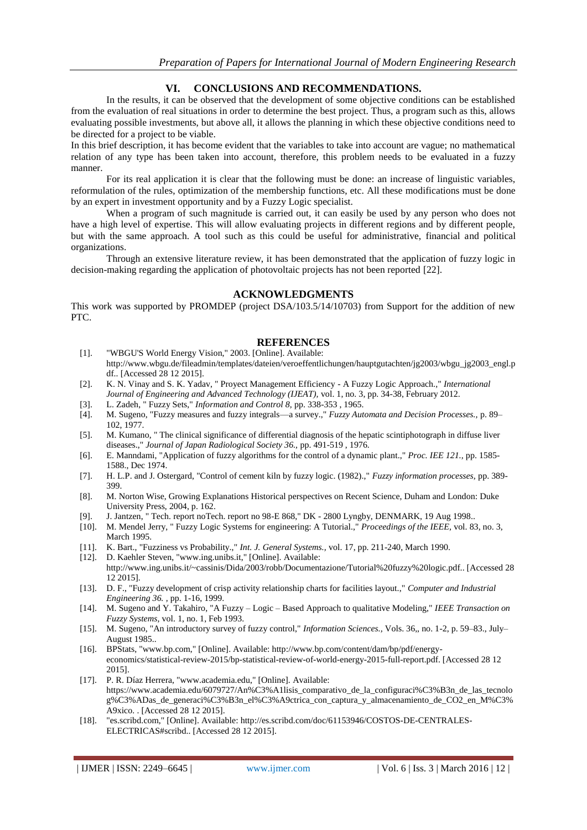# **VI. CONCLUSIONS AND RECOMMENDATIONS.**

In the results, it can be observed that the development of some objective conditions can be established from the evaluation of real situations in order to determine the best project. Thus, a program such as this, allows evaluating possible investments, but above all, it allows the planning in which these objective conditions need to be directed for a project to be viable.

In this brief description, it has become evident that the variables to take into account are vague; no mathematical relation of any type has been taken into account, therefore, this problem needs to be evaluated in a fuzzy manner.

For its real application it is clear that the following must be done: an increase of linguistic variables, reformulation of the rules, optimization of the membership functions, etc. All these modifications must be done by an expert in investment opportunity and by a Fuzzy Logic specialist.

When a program of such magnitude is carried out, it can easily be used by any person who does not have a high level of expertise. This will allow evaluating projects in different regions and by different people, but with the same approach. A tool such as this could be useful for administrative, financial and political organizations.

Through an extensive literature review, it has been demonstrated that the application of fuzzy logic in decision-making regarding the application of photovoltaic projects has not been reported [22].

#### **ACKNOWLEDGMENTS**

This work was supported by PROMDEP (project DSA/103.5/14/10703) from Support for the addition of new PTC.

#### **REFERENCES**

- [1]. "WBGU'S World Energy Vision," 2003. [Online]. Available: http://www.wbgu.de/fileadmin/templates/dateien/veroeffentlichungen/hauptgutachten/jg2003/wbgu\_jg2003\_engl.p df.. [Accessed 28 12 2015].
- [2]. K. N. Vinay and S. K. Yadav, " Proyect Management Efficiency A Fuzzy Logic Approach.," *International Journal of Engineering and Advanced Technology (IJEAT),* vol. 1, no. 3, pp. 34-38, February 2012.
- [3]. L. Zadeh, " Fuzzy Sets," *Information and Control 8,* pp. 338-353 , 1965.
- [4]. M. Sugeno, "Fuzzy measures and fuzzy integrals—a survey.," *Fuzzy Automata and Decision Processes.,* p. 89– 102, 1977.
- [5]. M. Kumano, " The clinical significance of differential diagnosis of the hepatic scintiphotograph in diffuse liver diseases.," *Journal of Japan Radiological Society 36.,* pp. 491-519 , 1976.
- [6]. E. Manndami, "Application of fuzzy algorithms for the control of a dynamic plant.," *Proc. IEE 121.,* pp. 1585- 1588., Dec 1974.
- [7]. H. L.P. and J. Ostergard, "Control of cement kiln by fuzzy logic. (1982).," *Fuzzy information processes,* pp. 389- 399.
- [8]. M. Norton Wise, Growing Explanations Historical perspectives on Recent Science, Duham and London: Duke University Press, 2004, p. 162.
- [9]. J. Jantzen, " Tech. report noTech. report no 98-E 868," DK 2800 Lyngby, DENMARK, 19 Aug 1998..
- [10]. M. Mendel Jerry, " Fuzzy Logic Systems for engineering: A Tutorial.," *Proceedings of the IEEE,* vol. 83, no. 3, March 1995.
- [11]. K. Bart., "Fuzziness vs Probability.," *Int. J. General Systems.,* vol. 17, pp. 211-240, March 1990.
- [12]. D. Kaehler Steven, "www.ing.unibs.it," [Online]. Available: http://www.ing.unibs.it/~cassinis/Dida/2003/robb/Documentazione/Tutorial%20fuzzy%20logic.pdf.. [Accessed 28 12 2015].
- [13]. D. F., "Fuzzy development of crisp activity relationship charts for facilities layout.," *Computer and Industrial Engineering 36. ,* pp. 1-16, 1999.
- [14]. M. Sugeno and Y. Takahiro, "A Fuzzy Logic Based Approach to qualitative Modeling," *IEEE Transaction on Fuzzy Systems,* vol. 1, no. 1, Feb 1993.
- [15]. M. Sugeno, "An introductory survey of fuzzy control," *Information Sciences.,* Vols. 36,, no. 1-2, p. 59–83., July– August 1985..
- [16]. BPStats, "www.bp.com," [Online]. Available: http://www.bp.com/content/dam/bp/pdf/energyeconomics/statistical-review-2015/bp-statistical-review-of-world-energy-2015-full-report.pdf. [Accessed 28 12 2015].
- [17]. P. R. Díaz Herrera, "www.academia.edu," [Online]. Available: https://www.academia.edu/6079727/An%C3%A1lisis\_comparativo\_de\_la\_configuraci%C3%B3n\_de\_las\_tecnolo g%C3%ADas\_de\_generaci%C3%B3n\_el%C3%A9ctrica\_con\_captura\_y\_almacenamiento\_de\_CO2\_en\_M%C3% A9xico. . [Accessed 28 12 2015].
- [18]. "es.scribd.com," [Online]. Available: http://es.scribd.com/doc/61153946/COSTOS-DE-CENTRALES-ELECTRICAS#scribd.. [Accessed 28 12 2015].